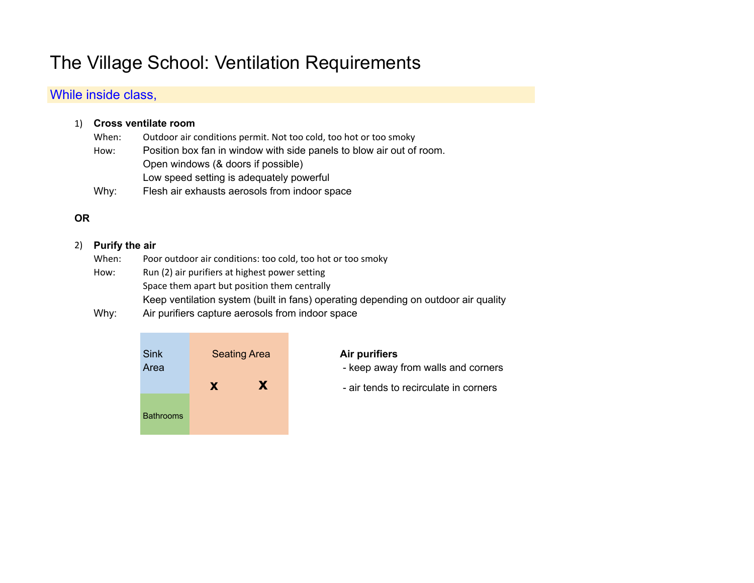# The Village School: Ventilation Requirements

## While inside class,

## 1) **Cross ventilate room**

- When: Outdoor air conditions permit. Not too cold, too hot or too smoky How: Position box fan in window with side panels to blow air out of room. Open windows (& doors if possible) Low speed setting is adequately powerful
- Why: Flesh air exhausts aerosols from indoor space

## **OR**

#### 2) **Purify the air**

- When: Poor outdoor air conditions: too cold, too hot or too smoky
- How: Run (2) air purifiers at highest power setting Space them apart but position them centrally Keep ventilation system (built in fans) operating depending on outdoor air quality
- Why: Air purifiers capture aerosols from indoor space



- 
- **x x** air tends to recirculate in corners